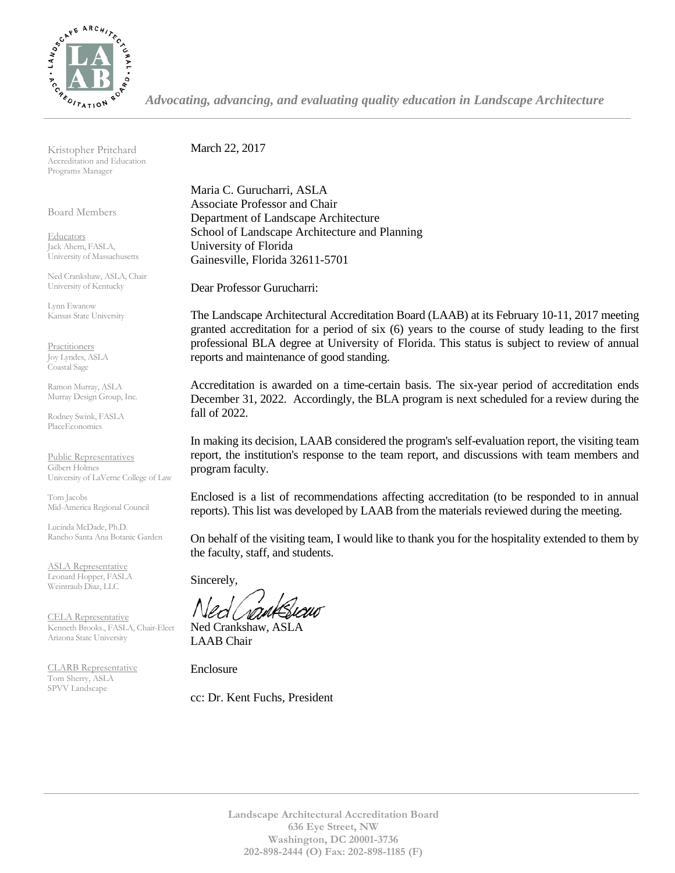

*Advocating, advancing, and evaluating quality education in Landscape Architecture*

Kristopher Pritchard Accreditation and Education Programs Manager

Board Members

Educators Jack Ahern, FASLA, University of Massachusetts

Ned Crankshaw, ASLA, Chair University of Kentucky

Lynn Ewanow Kansas State University

**Practitioners** Joy Lyndes, ASLA Coastal Sage

Ramon Murray, ASLA Murray Design Group, Inc.

Rodney Swink, FASLA PlaceEconomics

Public Representatives Gilbert Holmes University of LaVerne College of Law

Tom Jacobs Mid-America Regional Council

Lucinda McDade, Ph.D. Rancho Santa Ana Botanic Garden

ASLA Representative Leonard Hopper, FASLA Weintraub Diaz, LLC

CELA Representative Kenneth Brooks., FASLA, Chair-Elect Arizona State University

CLARB Representative Tom Sherry, ASLA SPVV Landscape

March 22, 2017

Maria C. Gurucharri, ASLA Associate Professor and Chair Department of Landscape Architecture School of Landscape Architecture and Planning University of Florida Gainesville, Florida 32611-5701

Dear Professor Gurucharri:

The Landscape Architectural Accreditation Board (LAAB) at its February 10-11, 2017 meeting granted accreditation for a period of six (6) years to the course of study leading to the first professional BLA degree at University of Florida. This status is subject to review of annual reports and maintenance of good standing.

Accreditation is awarded on a time-certain basis. The six-year period of accreditation ends December 31, 2022. Accordingly, the BLA program is next scheduled for a review during the fall of 2022.

In making its decision, LAAB considered the program's self-evaluation report, the visiting team report, the institution's response to the team report, and discussions with team members and program faculty.

Enclosed is a list of recommendations affecting accreditation (to be responded to in annual reports). This list was developed by LAAB from the materials reviewed during the meeting.

On behalf of the visiting team, I would like to thank you for the hospitality extended to them by the faculty, staff, and students.

Sincerely,

Ned Crankshaw, ASLA LAAB Chair

Enclosure

cc: Dr. Kent Fuchs, President